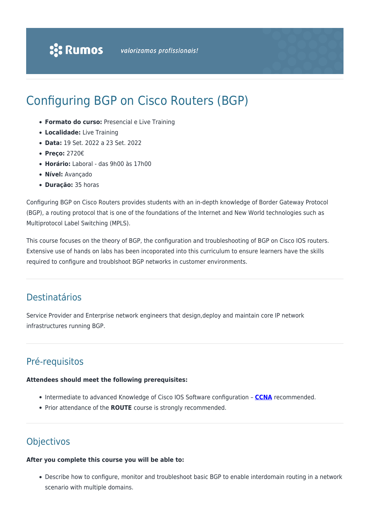# Configuring BGP on Cisco Routers (BGP)

- **Formato do curso:** Presencial e Live Training
- **Localidade:** Live Training
- **Data:** 19 Set. 2022 a 23 Set. 2022
- **Preço:** 2720€
- **Horário:** Laboral das 9h00 às 17h00
- **Nível:** Avançado
- **Duração:** 35 horas

Configuring BGP on Cisco Routers provides students with an in-depth knowledge of Border Gateway Protocol (BGP), a routing protocol that is one of the foundations of the Internet and New World technologies such as Multiprotocol Label Switching (MPLS).

This course focuses on the theory of BGP, the configuration and troubleshooting of BGP on Cisco IOS routers. Extensive use of hands on labs has been incoporated into this curriculum to ensure learners have the skills required to configure and troublshoot BGP networks in customer environments.

# Destinatários

Service Provider and Enterprise network engineers that design,deploy and maintain core IP network infrastructures running BGP.

# Pré-requisitos

### **Attendees should meet the following prerequisites:**

- Intermediate to advanced Knowledge of Cisco IOS Software configuration **[CCNA](https://rumos.pt/curso/implementing-and-administering-cisco-solutions-ccna-presencial-com-live-training/)** recommended.
- Prior attendance of the **ROUTE** course is strongly recommended.

# **Objectivos**

# **After you complete this course you will be able to:**

Describe how to configure, monitor and troubleshoot basic BGP to enable interdomain routing in a network scenario with multiple domains.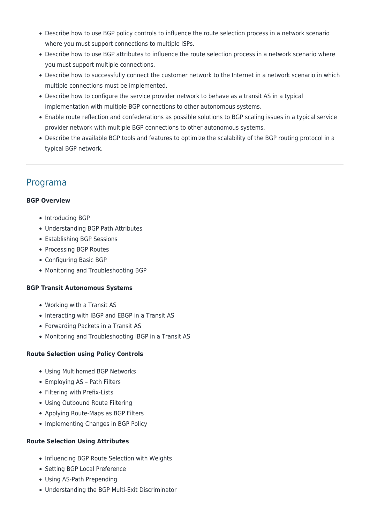- Describe how to use BGP policy controls to influence the route selection process in a network scenario where you must support connections to multiple ISPs.
- Describe how to use BGP attributes to influence the route selection process in a network scenario where you must support multiple connections.
- Describe how to successfully connect the customer network to the Internet in a network scenario in which multiple connections must be implemented.
- Describe how to configure the service provider network to behave as a transit AS in a typical implementation with multiple BGP connections to other autonomous systems.
- Enable route reflection and confederations as possible solutions to BGP scaling issues in a typical service provider network with multiple BGP connections to other autonomous systems.
- Describe the available BGP tools and features to optimize the scalability of the BGP routing protocol in a typical BGP network.

# Programa

# **BGP Overview**

- Introducing BGP
- Understanding BGP Path Attributes
- Establishing BGP Sessions
- Processing BGP Routes
- Configuring Basic BGP
- Monitoring and Troubleshooting BGP

# **BGP Transit Autonomous Systems**

- Working with a Transit AS
- Interacting with IBGP and EBGP in a Transit AS
- Forwarding Packets in a Transit AS
- Monitoring and Troubleshooting IBGP in a Transit AS

# **Route Selection using Policy Controls**

- Using Multihomed BGP Networks
- Employing AS Path Filters
- Filtering with Prefix-Lists
- Using Outbound Route Filtering
- Applying Route-Maps as BGP Filters
- Implementing Changes in BGP Policy

# **Route Selection Using Attributes**

- Influencing BGP Route Selection with Weights
- Setting BGP Local Preference
- Using AS-Path Prepending
- Understanding the BGP Multi-Exit Discriminator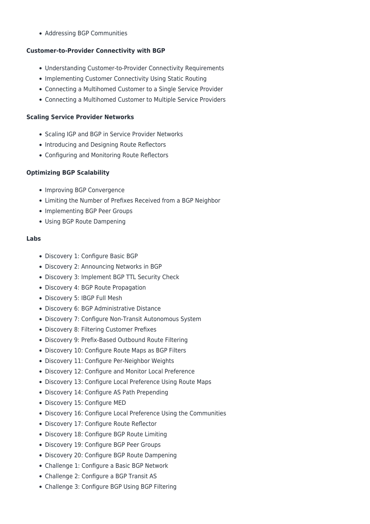Addressing BGP Communities

# **Customer-to-Provider Connectivity with BGP**

- Understanding Customer-to-Provider Connectivity Requirements
- Implementing Customer Connectivity Using Static Routing
- Connecting a Multihomed Customer to a Single Service Provider
- Connecting a Multihomed Customer to Multiple Service Providers

## **Scaling Service Provider Networks**

- Scaling IGP and BGP in Service Provider Networks
- Introducing and Designing Route Reflectors
- Configuring and Monitoring Route Reflectors

## **Optimizing BGP Scalability**

- Improving BGP Convergence
- Limiting the Number of Prefixes Received from a BGP Neighbor
- Implementing BGP Peer Groups
- Using BGP Route Dampening

### **Labs**

- Discovery 1: Configure Basic BGP
- Discovery 2: Announcing Networks in BGP
- Discovery 3: Implement BGP TTL Security Check
- Discovery 4: BGP Route Propagation
- Discovery 5: IBGP Full Mesh
- Discovery 6: BGP Administrative Distance
- Discovery 7: Configure Non-Transit Autonomous System
- Discovery 8: Filtering Customer Prefixes
- Discovery 9: Prefix-Based Outbound Route Filtering
- Discovery 10: Configure Route Maps as BGP Filters
- Discovery 11: Configure Per-Neighbor Weights
- Discovery 12: Configure and Monitor Local Preference
- Discovery 13: Configure Local Preference Using Route Maps
- Discovery 14: Configure AS Path Prepending
- Discovery 15: Configure MED
- Discovery 16: Configure Local Preference Using the Communities
- Discovery 17: Configure Route Reflector
- Discovery 18: Configure BGP Route Limiting
- Discovery 19: Configure BGP Peer Groups
- Discovery 20: Configure BGP Route Dampening
- Challenge 1: Configure a Basic BGP Network
- Challenge 2: Configure a BGP Transit AS
- Challenge 3: Configure BGP Using BGP Filtering